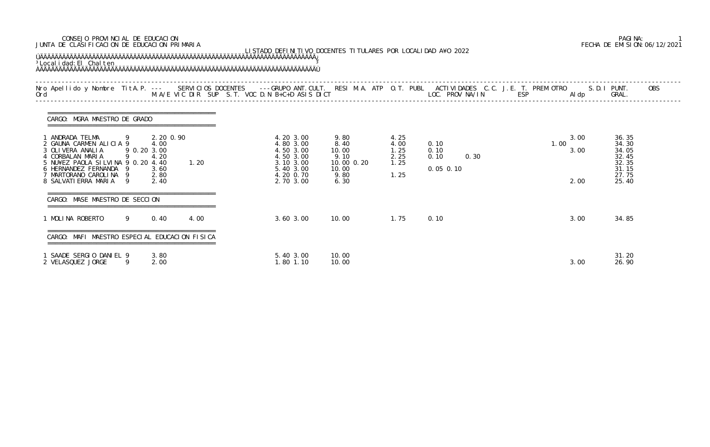## CONSEJO PROVINCIAL DE EDUCACION PAGINA: 1 JUNTA DE CLASIFICACION DE EDUCACION PRIMARIA FECHA DE EMISION:06/12/2021

| LISTADO DEFINITIVO DOCENTES TITULARES POR LOCALIDAD A¥O 2022<br><sup>3</sup> Local i dad: El Chal ten<br>Nro Apellido y Nombre TitA.P. --- SERVICIOS DOCENTES ---GRUPO ANT.CULT. RESI M.A. ATP O.T. PUBL ACTIVIDADES C.C. J.E. T. PREM OTRO<br>Ord                         M.A/E VIC DIR SUP S.T. VOC D.N B+C+D ASIS DICT |                                    |                                                   |      |  |                                                                                                      |                                                                      |                                              |                                             |                              |                                                                      |
|---------------------------------------------------------------------------------------------------------------------------------------------------------------------------------------------------------------------------------------------------------------------------------------------------------------------------|------------------------------------|---------------------------------------------------|------|--|------------------------------------------------------------------------------------------------------|----------------------------------------------------------------------|----------------------------------------------|---------------------------------------------|------------------------------|----------------------------------------------------------------------|
|                                                                                                                                                                                                                                                                                                                           |                                    |                                                   |      |  |                                                                                                      |                                                                      |                                              |                                             | Al dp                        | <b>OBS</b><br>S.D.I PUNT.<br>GRAL.                                   |
| CARGO: MGRA MAESTRO DE GRADO                                                                                                                                                                                                                                                                                              |                                    |                                                   |      |  |                                                                                                      |                                                                      |                                              |                                             |                              |                                                                      |
| 1 ANDRADA TELMA<br>2 GAUNA CARMEN ALICIA 9<br>3 OLI VERA ANALI A<br>4 CORBALAN MARIA<br>5 NU¥EZ PAOLA SILVINA 9 0.20 4.40<br>6 HERNANDEZ FERNANDA 9<br>7 MARTORANO CAROLINA 9<br>8 SALVATI ERRA MARIA 9                                                                                                                   | $\overline{9}$<br>9 0.20 3.00<br>9 | 2.20 0.90<br>4.00<br>4.20<br>3.60<br>2.80<br>2.40 | 1.20 |  | 4.20 3.00<br>4.80 3.00<br>4.50 3.00<br>4.50 3.00<br>3.10 3.00<br>5.40 3.00<br>4.20 0.70<br>2.70 3.00 | 9.80<br>8.40<br>10.00<br>9.10<br>10.00 0.20<br>10.00<br>9.80<br>6.30 | 4.25<br>4.00<br>1.25<br>2.25<br>1.25<br>1.25 | 0.10<br>0.10<br>0.10<br>0.30<br>$0.05$ 0.10 | 3.00<br>1.00<br>3.00<br>2.00 | 36.35<br>34.30<br>34.05<br>32.45<br>32.35<br>31.15<br>27.75<br>25.40 |
| CARGO: MASE MAESTRO DE SECCION                                                                                                                                                                                                                                                                                            |                                    |                                                   |      |  |                                                                                                      |                                                                      |                                              |                                             |                              |                                                                      |
| 1 MOLINA ROBERTO                                                                                                                                                                                                                                                                                                          | 9                                  | 0.40                                              | 4.00 |  | 3.60 3.00                                                                                            | 10.00                                                                | 1.75                                         | 0.10                                        | 3.00                         | 34.85                                                                |
| MAFI MAESTRO ESPECIAL EDUCACION FISICA                                                                                                                                                                                                                                                                                    |                                    |                                                   |      |  |                                                                                                      |                                                                      |                                              |                                             |                              |                                                                      |
| 1 SAADE SERGIO DANIEL 9<br>2 VELASQUEZ JORGE                                                                                                                                                                                                                                                                              | 9                                  | 3.80<br>2.00                                      |      |  | 5.40 3.00<br>1.80 1.10                                                                               | 10.00<br>10.00                                                       |                                              |                                             | 3.00                         | 31.20<br>26.90                                                       |